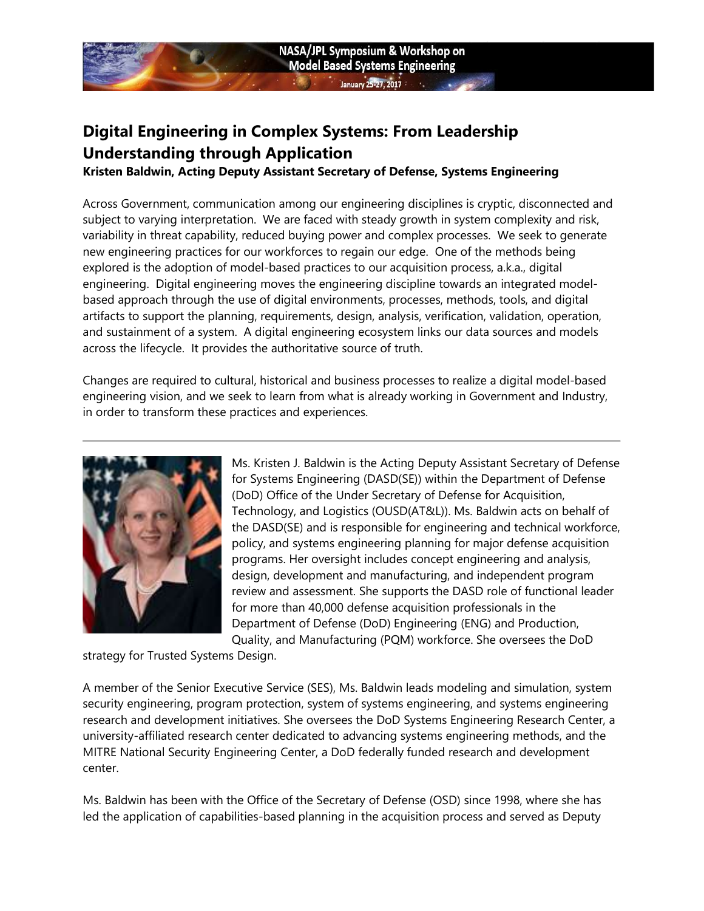# Digital Engineering in Complex Systems: From Leadership Understanding through Application

Kristen Baldwin, Acting Deputy Assistant Secretary of Defense, Systems Engineering

Across Government, communication among our engineering disciplines is cryptic, disconnected and subject to varying interpretation. We are faced with steady growth in system complexity and risk, variability in threat capability, reduced buying power and complex processes. We seek to generate new engineering practices for our workforces to regain our edge. One of the methods being explored is the adoption of model-based practices to our acquisition process, a.k.a., digital engineering. Digital engineering moves the engineering discipline towards an integrated modelbased approach through the use of digital environments, processes, methods, tools, and digital artifacts to support the planning, requirements, design, analysis, verification, validation, operation, and sustainment of a system. A digital engineering ecosystem links our data sources and models across the lifecycle. It provides the authoritative source of truth.

Changes are required to cultural, historical and business processes to realize a digital model-based engineering vision, and we seek to learn from what is already working in Government and Industry, in order to transform these practices and experiences.



Ms. Kristen J. Baldwin is the Acting Deputy Assistant Secretary of Defense for Systems Engineering (DASD(SE)) within the Department of Defense (DoD) Office of the Under Secretary of Defense for Acquisition, Technology, and Logistics (OUSD(AT&L)). Ms. Baldwin acts on behalf of the DASD(SE) and is responsible for engineering and technical workforce, policy, and systems engineering planning for major defense acquisition programs. Her oversight includes concept engineering and analysis, design, development and manufacturing, and independent program review and assessment. She supports the DASD role of functional leader for more than 40,000 defense acquisition professionals in the Department of Defense (DoD) Engineering (ENG) and Production, Quality, and Manufacturing (PQM) workforce. She oversees the DoD

strategy for Trusted Systems Design.

A member of the Senior Executive Service (SES), Ms. Baldwin leads modeling and simulation, system security engineering, program protection, system of systems engineering, and systems engineering research and development initiatives. She oversees the DoD Systems Engineering Research Center, a university-affiliated research center dedicated to advancing systems engineering methods, and the MITRE National Security Engineering Center, a DoD federally funded research and development center.

Ms. Baldwin has been with the Office of the Secretary of Defense (OSD) since 1998, where she has led the application of capabilities-based planning in the acquisition process and served as Deputy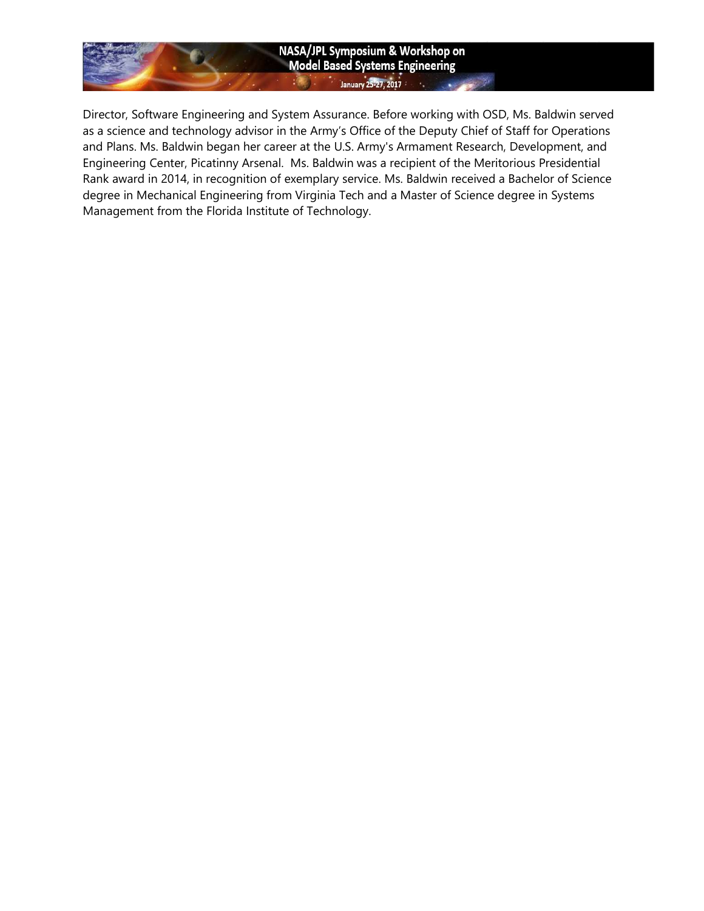### NASA/JPL Symposium & Workshop on **Model Based Systems Engineering** January 25-27, 2017

Director, Software Engineering and System Assurance. Before working with OSD, Ms. Baldwin served as a science and technology advisor in the Army's Office of the Deputy Chief of Staff for Operations and Plans. Ms. Baldwin began her career at the U.S. Army's Armament Research, Development, and Engineering Center, Picatinny Arsenal. Ms. Baldwin was a recipient of the Meritorious Presidential Rank award in 2014, in recognition of exemplary service. Ms. Baldwin received a Bachelor of Science degree in Mechanical Engineering from Virginia Tech and a Master of Science degree in Systems Management from the Florida Institute of Technology.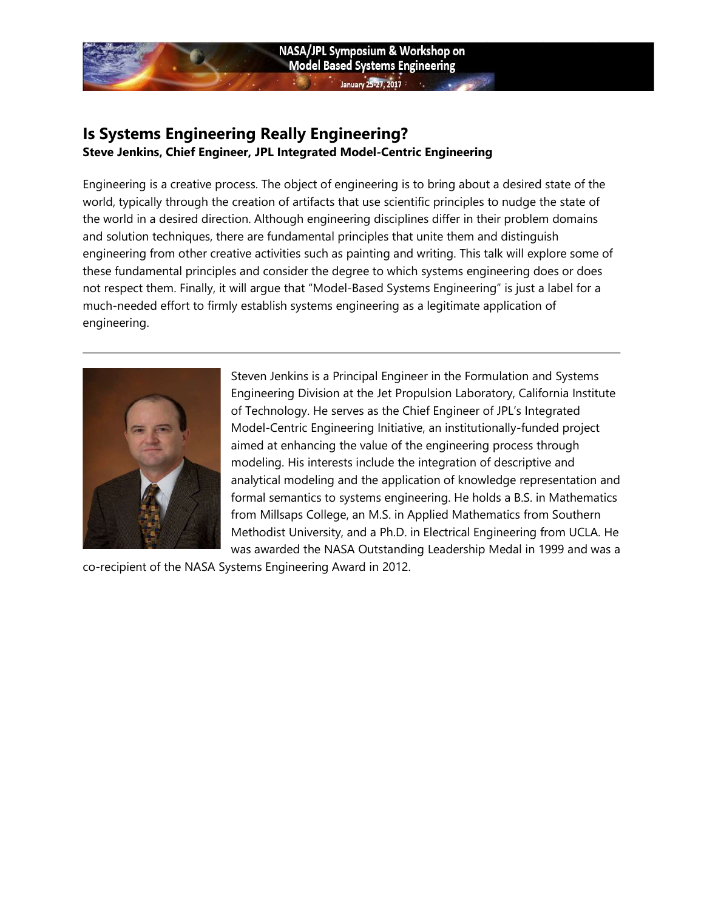## Is Systems Engineering Really Engineering? Steve Jenkins, Chief Engineer, JPL Integrated Model-Centric Engineering

Engineering is a creative process. The object of engineering is to bring about a desired state of the world, typically through the creation of artifacts that use scientific principles to nudge the state of the world in a desired direction. Although engineering disciplines differ in their problem domains and solution techniques, there are fundamental principles that unite them and distinguish engineering from other creative activities such as painting and writing. This talk will explore some of these fundamental principles and consider the degree to which systems engineering does or does not respect them. Finally, it will argue that "Model-Based Systems Engineering" is just a label for a much-needed effort to firmly establish systems engineering as a legitimate application of engineering.



Steven Jenkins is a Principal Engineer in the Formulation and Systems Engineering Division at the Jet Propulsion Laboratory, California Institute of Technology. He serves as the Chief Engineer of JPL's Integrated Model-Centric Engineering Initiative, an institutionally-funded project aimed at enhancing the value of the engineering process through modeling. His interests include the integration of descriptive and analytical modeling and the application of knowledge representation and formal semantics to systems engineering. He holds a B.S. in Mathematics from Millsaps College, an M.S. in Applied Mathematics from Southern Methodist University, and a Ph.D. in Electrical Engineering from UCLA. He was awarded the NASA Outstanding Leadership Medal in 1999 and was a

co-recipient of the NASA Systems Engineering Award in 2012.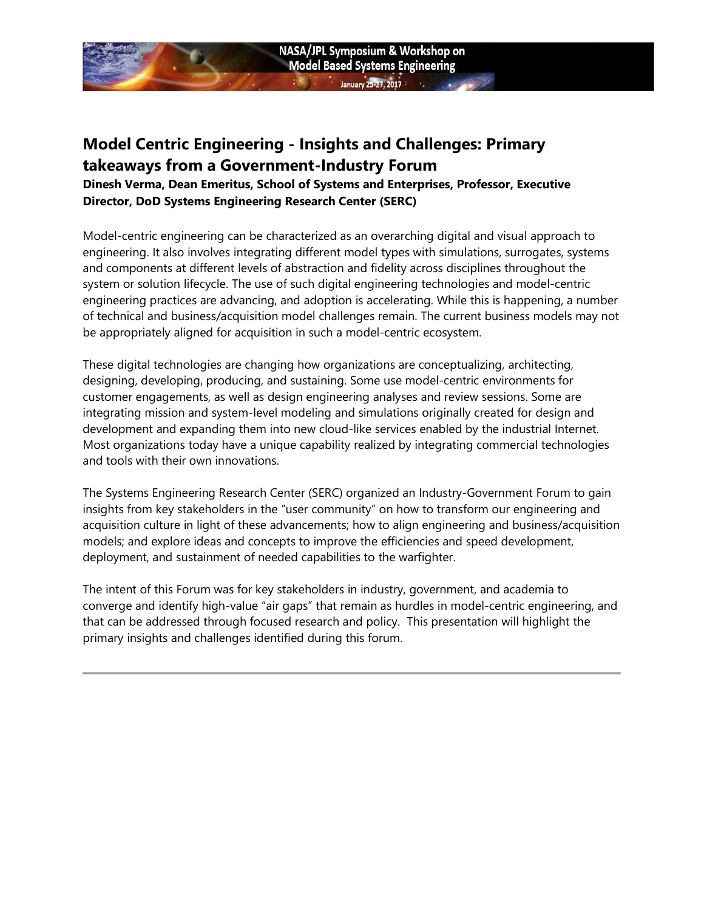## Model Centric Engineering - Insights and Challenges: Primary takeaways from a Government-Industry Forum

Dinesh Verma, Dean Emeritus, School of Systems and Enterprises, Professor, Executive Director, DoD Systems Engineering Research Center (SERC)

Model-centric engineering can be characterized as an overarching digital
 and visual approach to engineering. It also involves integrating different model 
types with simulations, surrogates, systems and components at different levels of abstraction and fidelity across disciplines throughout the system or solution lifecycle. The use of such digital engineering technologies and model-centric engineering practices
 are advancing, and adoption is accelerating. While this is happening, a number of technical
 and business/acquisition model challenges remain. The current business models may not be appropriately aligned for acquisition in such a model-centric ecosystem.

These digital technologies are changing how organizations are conceptualizing,
 architecting, designing, developing, producing, and sustaining. Some use modelcentric environments for customer engagements, as well as design engineering 
analyses and review sessions. Some are integrating mission and system-level modeling 
and simulations originally created for design and development and expanding them into new cloud-like services enabled by the industrial Internet. Most organizations today have a unique capability realized by integrating commercial technologies and tools with their own innovations.

The Systems Engineering Research Center (SERC) organized an Industry-Government Forum to gain insights from key stakeholders in the "user community" on how to transform our engineering and acquisition culture in light of these advancements; how to align engineering and business/acquisition models; and explore ideas and concepts to improve the efficiencies and speed development, deployment, and sustainment of needed capabilities to the warfighter.

The intent of this Forum was for key stakeholders in industry, government, and academia to converge and identify high-value "air gaps" that remain as hurdles in model-centric engineering, and that can be addressed through focused research and policy. This presentation will highlight the primary insights and challenges identified during this forum.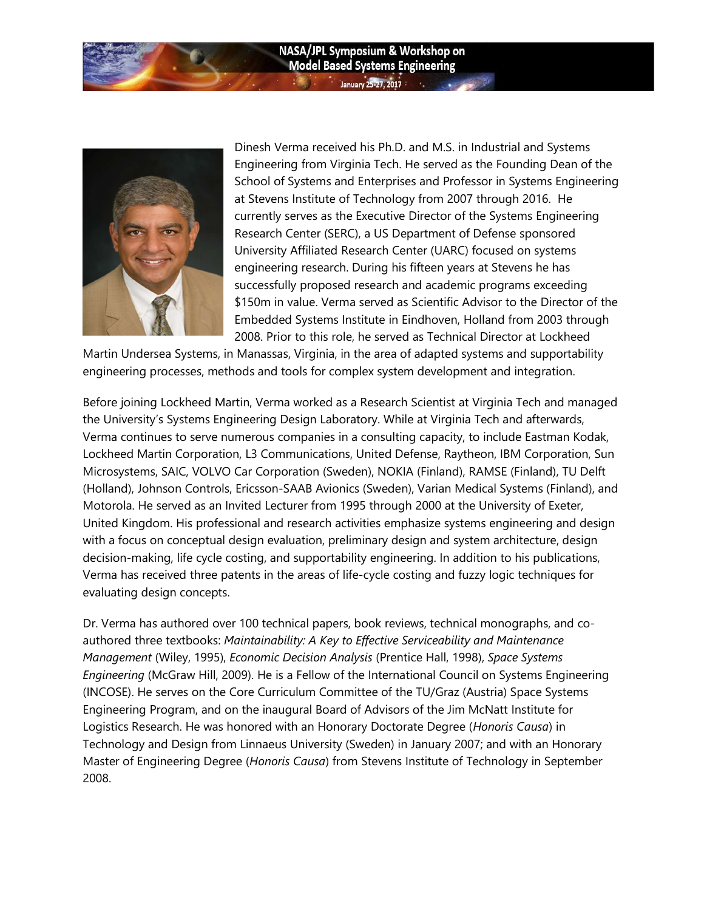#### NASA/JPL Symposium & Workshop on **Model Based Systems Engineering** allary 25-27, 2017



Dinesh Verma received his Ph.D. and M.S. in Industrial and Systems Engineering from Virginia Tech. He served as the Founding Dean of the School of Systems and Enterprises and Professor in Systems Engineering at Stevens Institute of Technology from 2007 through 2016. He currently serves as the Executive Director of the Systems Engineering Research Center (SERC), a US Department of Defense sponsored University Affiliated Research Center (UARC) focused on systems engineering research. During his fifteen years at Stevens he has successfully proposed research and academic programs exceeding \$150m in value. Verma served as Scientific Advisor to the Director of the Embedded Systems Institute in Eindhoven, Holland from 2003 through 2008. Prior to this role, he served as Technical Director at Lockheed

Martin Undersea Systems, in Manassas, Virginia, in the area of adapted systems and supportability engineering processes, methods and tools for complex system development and integration.

Before joining Lockheed Martin, Verma worked as a Research Scientist at Virginia Tech and managed the University's Systems Engineering Design Laboratory. While at Virginia Tech and afterwards, Verma continues to serve numerous companies in a consulting capacity, to include Eastman Kodak, Lockheed Martin Corporation, L3 Communications, United Defense, Raytheon, IBM Corporation, Sun Microsystems, SAIC, VOLVO Car Corporation (Sweden), NOKIA (Finland), RAMSE (Finland), TU Delft (Holland), Johnson Controls, Ericsson-SAAB Avionics (Sweden), Varian Medical Systems (Finland), and Motorola. He served as an Invited Lecturer from 1995 through 2000 at the University of Exeter, United Kingdom. His professional and research activities emphasize systems engineering and design with a focus on conceptual design evaluation, preliminary design and system architecture, design decision-making, life cycle costing, and supportability engineering. In addition to his publications, Verma has received three patents in the areas of life-cycle costing and fuzzy logic techniques for evaluating design concepts.

Dr. Verma has authored over 100 technical papers, book reviews, technical monographs, and coauthored three textbooks: Maintainability: A Key to Effective Serviceability and Maintenance Management (Wiley, 1995), Economic Decision Analysis (Prentice Hall, 1998), Space Systems Engineering (McGraw Hill, 2009). He is a Fellow of the International Council on Systems Engineering (INCOSE). He serves on the Core Curriculum Committee of the TU/Graz (Austria) Space Systems Engineering Program, and on the inaugural Board of Advisors of the Jim McNatt Institute for Logistics Research. He was honored with an Honorary Doctorate Degree (Honoris Causa) in Technology and Design from Linnaeus University (Sweden) in January 2007; and with an Honorary Master of Engineering Degree (Honoris Causa) from Stevens Institute of Technology in September 2008.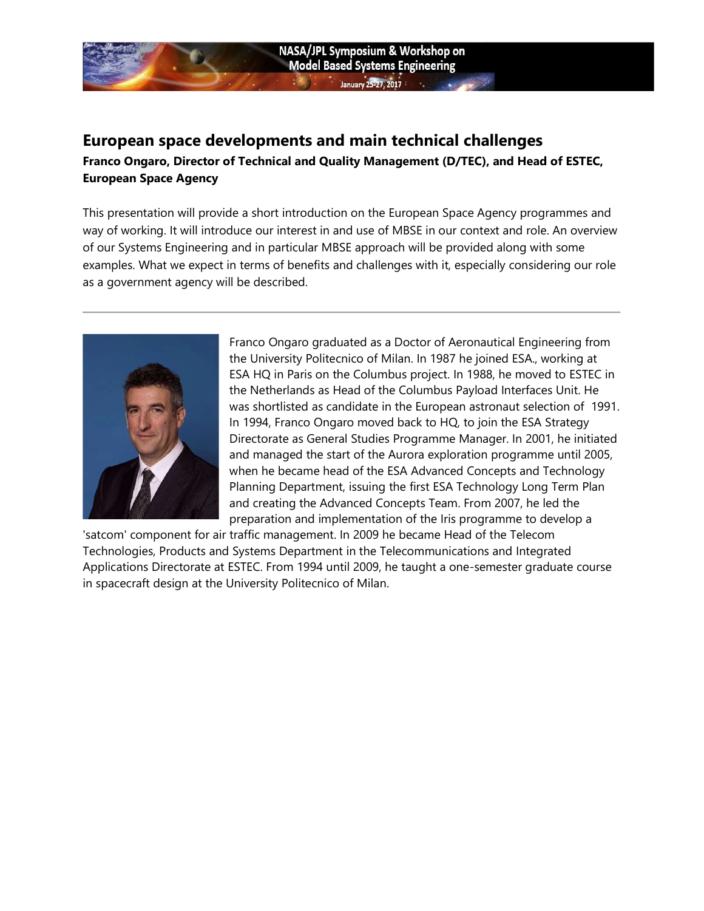## European space developments and main technical challenges Franco Ongaro, Director of Technical and Quality Management (D/TEC), and Head of ESTEC, European Space Agency

NASA/JPL Symposium & Workshop on **Model Based Systems Engineering** 

 $25.2722117$ 

This presentation will provide a short introduction on the European Space Agency programmes and way of working. It will introduce our interest in and use of MBSE in our context and role. An overview of our Systems Engineering and in particular MBSE approach will be provided along with some examples. What we expect in terms of benefits and challenges with it, especially considering our role as a government agency will be described.



Franco Ongaro graduated as a Doctor of Aeronautical Engineering from the University Politecnico of Milan. In 1987 he joined ESA., working at ESA HQ in Paris on the Columbus project. In 1988, he moved to ESTEC in the Netherlands as Head of the Columbus Payload Interfaces Unit. He was shortlisted as candidate in the European astronaut selection of 1991. In 1994, Franco Ongaro moved back to HQ, to join the ESA Strategy Directorate as General Studies Programme Manager. In 2001, he initiated and managed the start of the Aurora exploration programme until 2005, when he became head of the ESA Advanced Concepts and Technology Planning Department, issuing the first ESA Technology Long Term Plan and creating the Advanced Concepts Team. From 2007, he led the preparation and implementation of the Iris programme to develop a

'satcom' component for air traffic management. In 2009 he became Head of the Telecom Technologies, Products and Systems Department in the Telecommunications and Integrated Applications Directorate at ESTEC. From 1994 until 2009, he taught a one-semester graduate course in spacecraft design at the University Politecnico of Milan.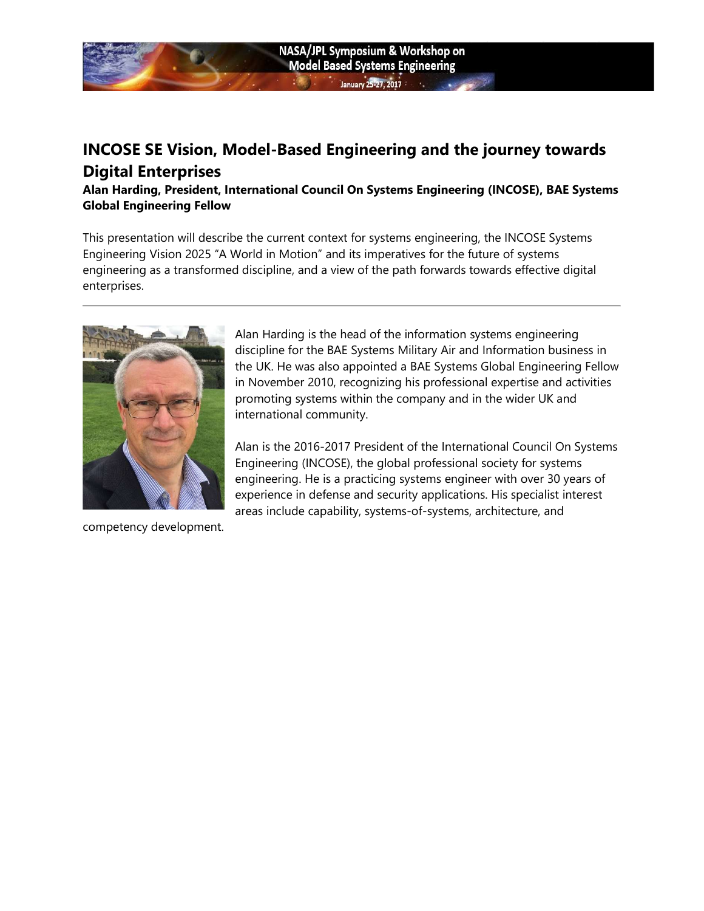

## INCOSE SE Vision, Model-Based Engineering and the journey towards Digital Enterprises

Alan Harding, President, International Council On Systems Engineering (INCOSE), BAE Systems Global Engineering Fellow

This presentation will describe the current context for systems engineering, the INCOSE Systems Engineering Vision 2025 "A World in Motion" and its imperatives for the future of systems engineering as a transformed discipline, and a view of the path forwards towards effective digital enterprises.



Alan Harding is the head of the information systems engineering discipline for the BAE Systems Military Air and Information business in the UK. He was also appointed a BAE Systems Global Engineering Fellow in November 2010, recognizing his professional expertise and activities promoting systems within the company and in the wider UK and international community.

Alan is the 2016-2017 President of the International Council On Systems Engineering (INCOSE), the global professional society for systems engineering. He is a practicing systems engineer with over 30 years of experience in defense and security applications. His specialist interest areas include capability, systems-of-systems, architecture, and

competency development.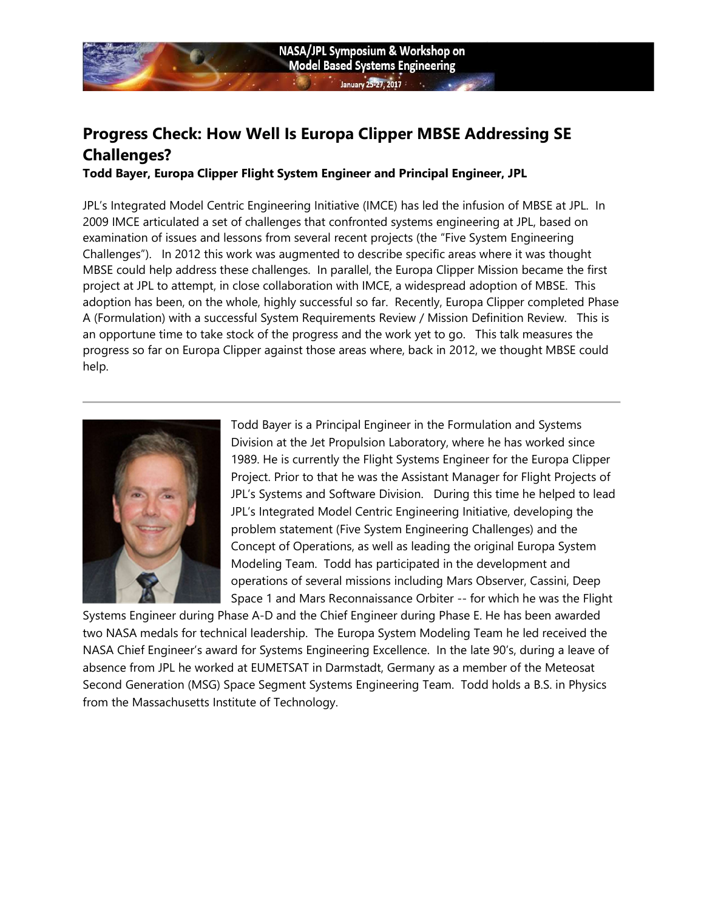# Progress Check: How Well Is Europa Clipper MBSE Addressing SE Challenges?

Todd Bayer, Europa Clipper Flight System Engineer and Principal Engineer, JPL

JPL's Integrated Model Centric Engineering Initiative (IMCE) has led the infusion of MBSE at JPL. In 2009 IMCE articulated a set of challenges that confronted systems engineering at JPL, based on examination of issues and lessons from several recent projects (the "Five System Engineering Challenges"). In 2012 this work was augmented to describe specific areas where it was thought MBSE could help address these challenges. In parallel, the Europa Clipper Mission became the first project at JPL to attempt, in close collaboration with IMCE, a widespread adoption of MBSE. This adoption has been, on the whole, highly successful so far. Recently, Europa Clipper completed Phase A (Formulation) with a successful System Requirements Review / Mission Definition Review. This is an opportune time to take stock of the progress and the work yet to go. This talk measures the progress so far on Europa Clipper against those areas where, back in 2012, we thought MBSE could help.



Todd Bayer is a Principal Engineer in the Formulation and Systems Division at the Jet Propulsion Laboratory, where he has worked since 1989. He is currently the Flight Systems Engineer for the Europa Clipper Project. Prior to that he was the Assistant Manager for Flight Projects of JPL's Systems and Software Division. During this time he helped to lead JPL's Integrated Model Centric Engineering Initiative, developing the problem statement (Five System Engineering Challenges) and the Concept of Operations, as well as leading the original Europa System Modeling Team. Todd has participated in the development and operations of several missions including Mars Observer, Cassini, Deep Space 1 and Mars Reconnaissance Orbiter -- for which he was the Flight

Systems Engineer during Phase A-D and the Chief Engineer during Phase E. He has been awarded two NASA medals for technical leadership. The Europa System Modeling Team he led received the NASA Chief Engineer's award for Systems Engineering Excellence. In the late 90's, during a leave of absence from JPL he worked at EUMETSAT in Darmstadt, Germany as a member of the Meteosat Second Generation (MSG) Space Segment Systems Engineering Team. Todd holds a B.S. in Physics from the Massachusetts Institute of Technology.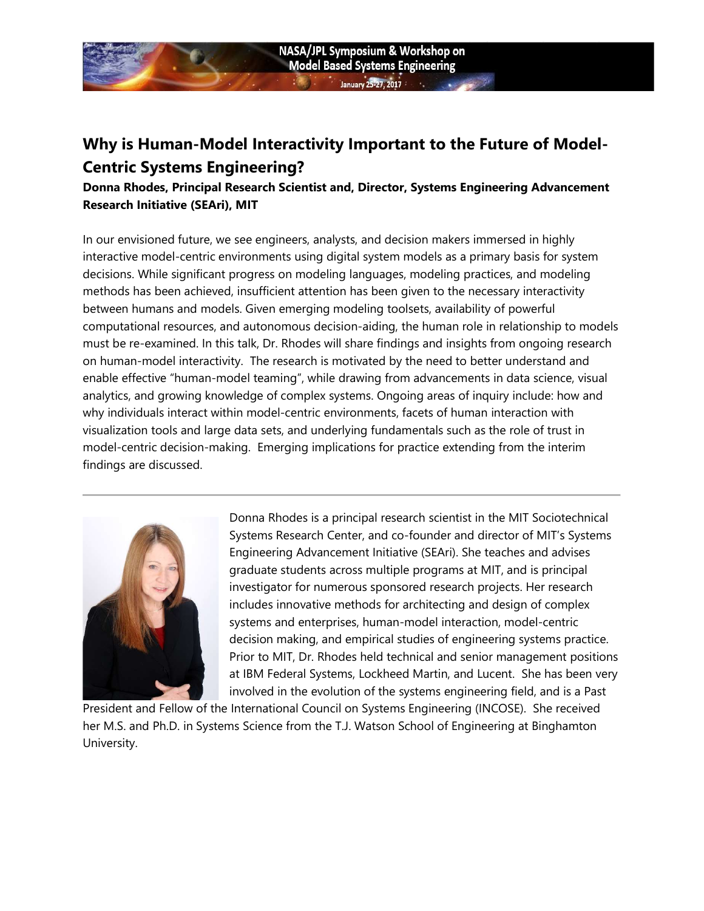

## Why is Human-Model Interactivity Important to the Future of Model-Centric Systems Engineering?

Donna Rhodes, Principal Research Scientist and, Director, Systems Engineering Advancement Research Initiative (SEAri), MIT

In our envisioned future, we see engineers, analysts, and decision makers immersed in highly interactive model-centric environments using digital system models as a primary basis for system decisions. While significant progress on modeling languages, modeling practices, and modeling methods has been achieved, insufficient attention has been given to the necessary interactivity between humans and models. Given emerging modeling toolsets, availability of powerful computational resources, and autonomous decision-aiding, the human role in relationship to models must be re-examined. In this talk, Dr. Rhodes will share findings and insights from ongoing research on human-model interactivity. The research is motivated by the need to better understand and enable effective "human-model teaming", while drawing from advancements in data science, visual analytics, and growing knowledge of complex systems. Ongoing areas of inquiry include: how and why individuals interact within model-centric environments, facets of human interaction with visualization tools and large data sets, and underlying fundamentals such as the role of trust in model-centric decision-making. Emerging implications for practice extending from the interim findings are discussed.



Donna Rhodes is a principal research scientist in the MIT Sociotechnical Systems Research Center, and co-founder and director of MIT's Systems Engineering Advancement Initiative (SEAri). She teaches and advises graduate students across multiple programs at MIT, and is principal investigator for numerous sponsored research projects. Her research includes innovative methods for architecting and design of complex systems and enterprises, human-model interaction, model-centric decision making, and empirical studies of engineering systems practice. Prior to MIT, Dr. Rhodes held technical and senior management positions at IBM Federal Systems, Lockheed Martin, and Lucent. She has been very involved in the evolution of the systems engineering field, and is a Past

President and Fellow of the International Council on Systems Engineering (INCOSE). She received her M.S. and Ph.D. in Systems Science from the T.J. Watson School of Engineering at Binghamton University.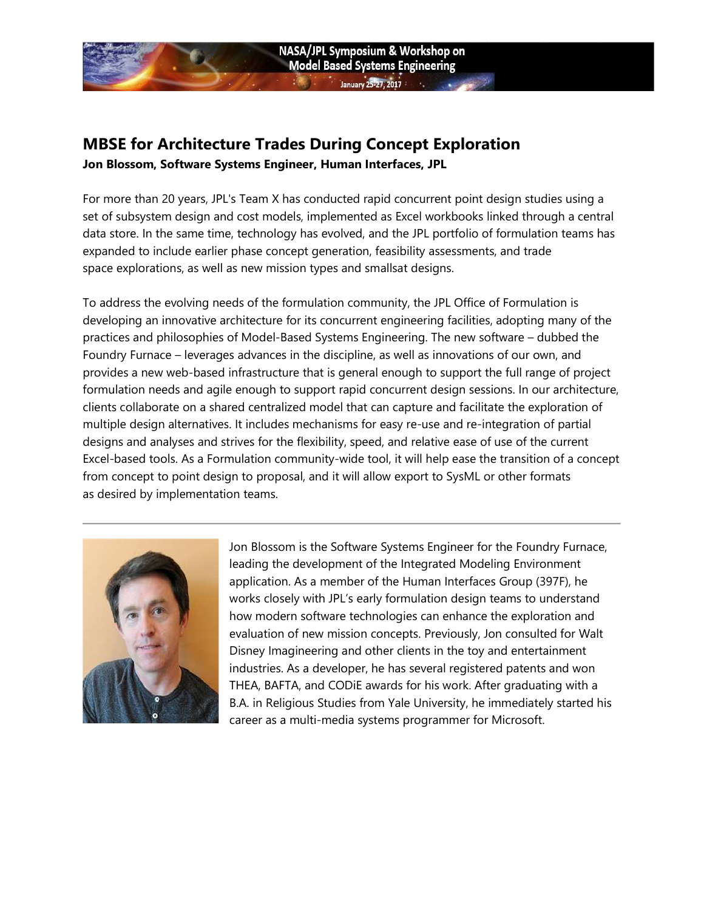### MBSE for Architecture Trades During Concept Exploration Jon Blossom, Software Systems Engineer, Human Interfaces, JPL

For more than 20 years, JPL's Team X has conducted rapid concurrent point design studies using a set of subsystem design and cost models, implemented as Excel workbooks linked through a central data store. In the same time, technology has evolved, and the JPL portfolio of formulation teams has expanded to include earlier phase concept generation, feasibility assessments, and trade space explorations, as well as new mission types and smallsat designs.

To address the evolving needs of the formulation community, the JPL Office of Formulation is developing an innovative architecture for its concurrent engineering facilities, adopting many of the practices and philosophies of Model-Based Systems Engineering. The new software – dubbed the Foundry Furnace – leverages advances in the discipline, as well as innovations of our own, and provides a new web-based infrastructure that is general enough to support the full range of project formulation needs and agile enough to support rapid concurrent design sessions. In our architecture, clients collaborate on a shared centralized model that can capture and facilitate the exploration of multiple design alternatives. It includes mechanisms for easy re-use and re-integration of partial designs and analyses and strives for the flexibility, speed, and relative ease of use of the current Excel-based tools. As a Formulation community-wide tool, it will help ease the transition of a concept from concept to point design to proposal, and it will allow export to SysML or other formats as desired by implementation teams.



Jon Blossom is the Software Systems Engineer for the Foundry Furnace, leading the development of the Integrated Modeling Environment application. As a member of the Human Interfaces Group (397F), he works closely with JPL's early formulation design teams to understand how modern software technologies can enhance the exploration and evaluation of new mission concepts. Previously, Jon consulted for Walt Disney Imagineering and other clients in the toy and entertainment industries. As a developer, he has several registered patents and won THEA, BAFTA, and CODiE awards for his work. After graduating with a B.A. in Religious Studies from Yale University, he immediately started his career as a multi-media systems programmer for Microsoft.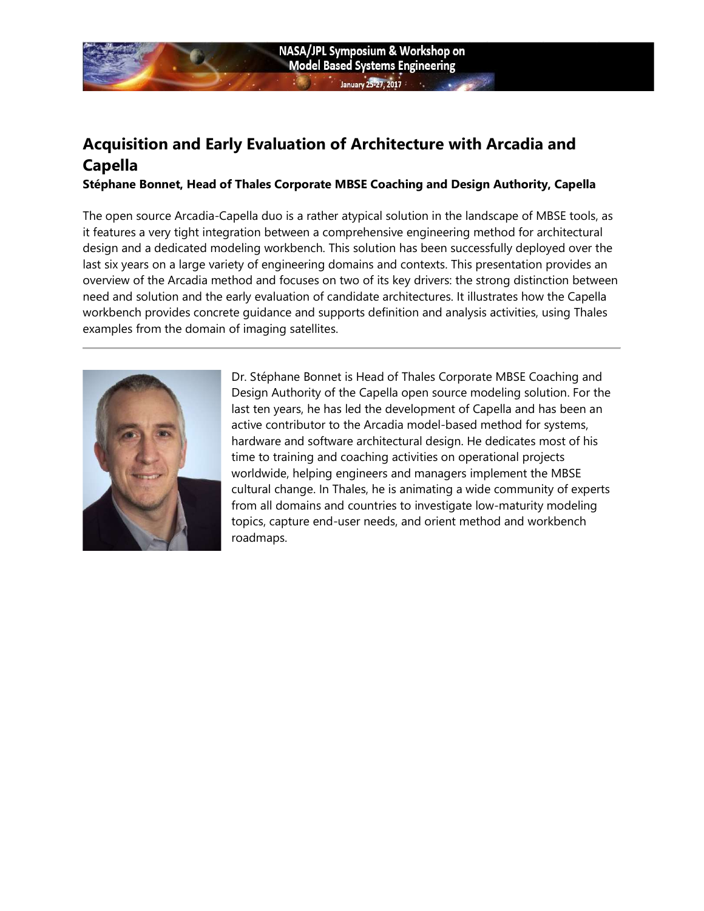## Acquisition and Early Evaluation of Architecture with Arcadia and **Capella**

#### Stéphane Bonnet, Head of Thales Corporate MBSE Coaching and Design Authority, Capella

The open source Arcadia-Capella duo is a rather atypical solution in the landscape of MBSE tools, as it features a very tight integration between a comprehensive engineering method for architectural design and a dedicated modeling workbench. This solution has been successfully deployed over the last six years on a large variety of engineering domains and contexts. This presentation provides an overview of the Arcadia method and focuses on two of its key drivers: the strong distinction between need and solution and the early evaluation of candidate architectures. It illustrates how the Capella workbench provides concrete guidance and supports definition and analysis activities, using Thales examples from the domain of imaging satellites.



Dr. Stéphane Bonnet is Head of Thales Corporate MBSE Coaching and Design Authority of the Capella open source modeling solution. For the last ten years, he has led the development of Capella and has been an active contributor to the Arcadia model-based method for systems, hardware and software architectural design. He dedicates most of his time to training and coaching activities on operational projects worldwide, helping engineers and managers implement the MBSE cultural change. In Thales, he is animating a wide community of experts from all domains and countries to investigate low-maturity modeling topics, capture end-user needs, and orient method and workbench roadmaps.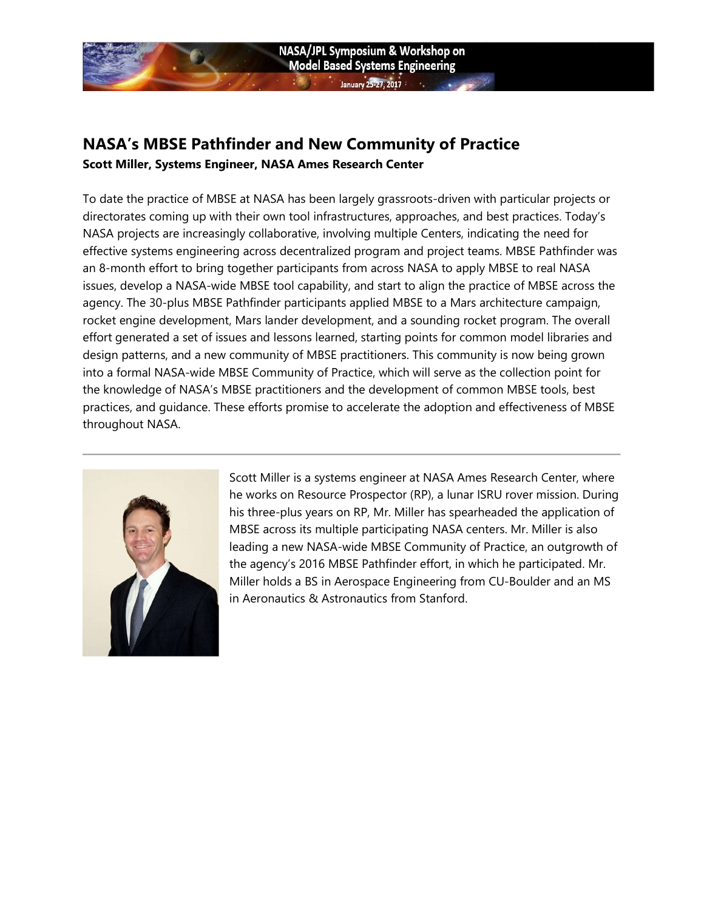

## NASA's MBSE Pathfinder and New Community of Practice Scott Miller, Systems Engineer, NASA Ames Research Center

To date the practice of MBSE at NASA has been largely grassroots-driven with particular projects or directorates coming up with their own tool infrastructures, approaches, and best practices. Today's NASA projects are increasingly collaborative, involving multiple Centers, indicating the need for effective systems engineering across decentralized program and project teams. MBSE Pathfinder was an 8-month effort to bring together participants from across NASA to apply MBSE to real NASA issues, develop a NASA-wide MBSE tool capability, and start to align the practice of MBSE across the agency. The 30-plus MBSE Pathfinder participants applied MBSE to a Mars architecture campaign, rocket engine development, Mars lander development, and a sounding rocket program. The overall effort generated a set of issues and lessons learned, starting points for common model libraries and design patterns, and a new community of MBSE practitioners. This community is now being grown into a formal NASA-wide MBSE Community of Practice, which will serve as the collection point for the knowledge of NASA's MBSE practitioners and the development of common MBSE tools, best practices, and guidance. These efforts promise to accelerate the adoption and effectiveness of MBSE throughout NASA.



Scott Miller is a systems engineer at NASA Ames Research Center, where he works on Resource Prospector (RP), a lunar ISRU rover mission. During his three-plus years on RP, Mr. Miller has spearheaded the application of MBSE across its multiple participating NASA centers. Mr. Miller is also leading a new NASA-wide MBSE Community of Practice, an outgrowth of the agency's 2016 MBSE Pathfinder effort, in which he participated. Mr. Miller holds a BS in Aerospace Engineering from CU-Boulder and an MS in Aeronautics & Astronautics from Stanford.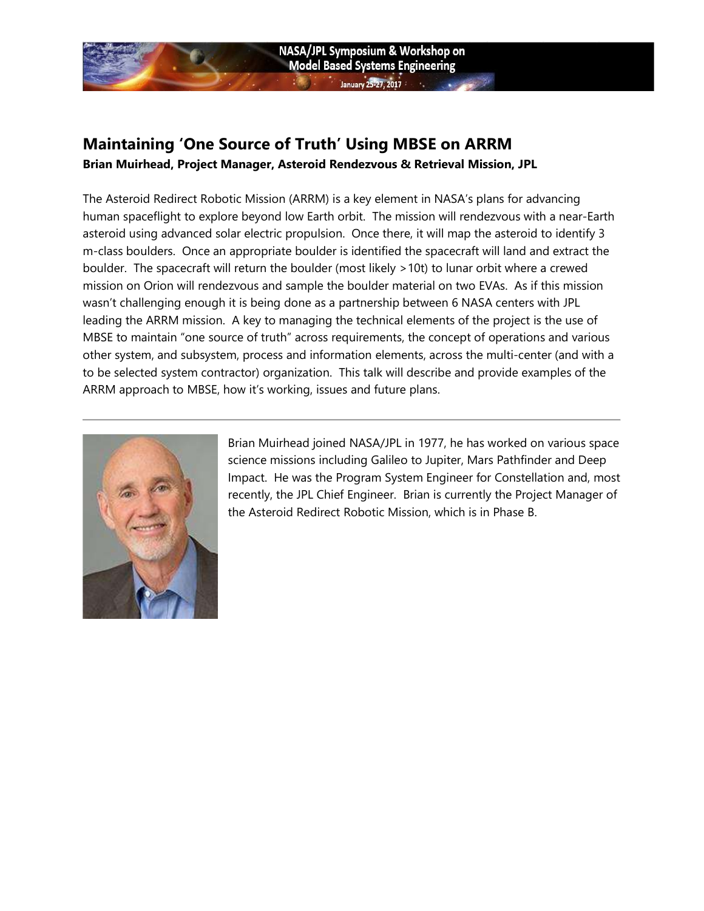### Maintaining 'One Source of Truth' Using MBSE on ARRM Brian Muirhead, Project Manager, Asteroid Rendezvous & Retrieval Mission, JPL

The Asteroid Redirect Robotic Mission (ARRM) is a key element in NASA's plans for advancing human spaceflight to explore beyond low Earth orbit. The mission will rendezvous with a near-Earth asteroid using advanced solar electric propulsion. Once there, it will map the asteroid to identify 3 m-class boulders. Once an appropriate boulder is identified the spacecraft will land and extract the boulder. The spacecraft will return the boulder (most likely >10t) to lunar orbit where a crewed mission on Orion will rendezvous and sample the boulder material on two EVAs. As if this mission wasn't challenging enough it is being done as a partnership between 6 NASA centers with JPL leading the ARRM mission. A key to managing the technical elements of the project is the use of MBSE to maintain "one source of truth" across requirements, the concept of operations and various other system, and subsystem, process and information elements, across the multi-center (and with a to be selected system contractor) organization. This talk will describe and provide examples of the ARRM approach to MBSE, how it's working, issues and future plans.

NASA/JPL Symposium & Workshop on **Model Based Systems Engineering** 

 $\frac{1}{25-27.2017}$ 



Brian Muirhead joined NASA/JPL in 1977, he has worked on various space science missions including Galileo to Jupiter, Mars Pathfinder and Deep Impact. He was the Program System Engineer for Constellation and, most recently, the JPL Chief Engineer. Brian is currently the Project Manager of the Asteroid Redirect Robotic Mission, which is in Phase B.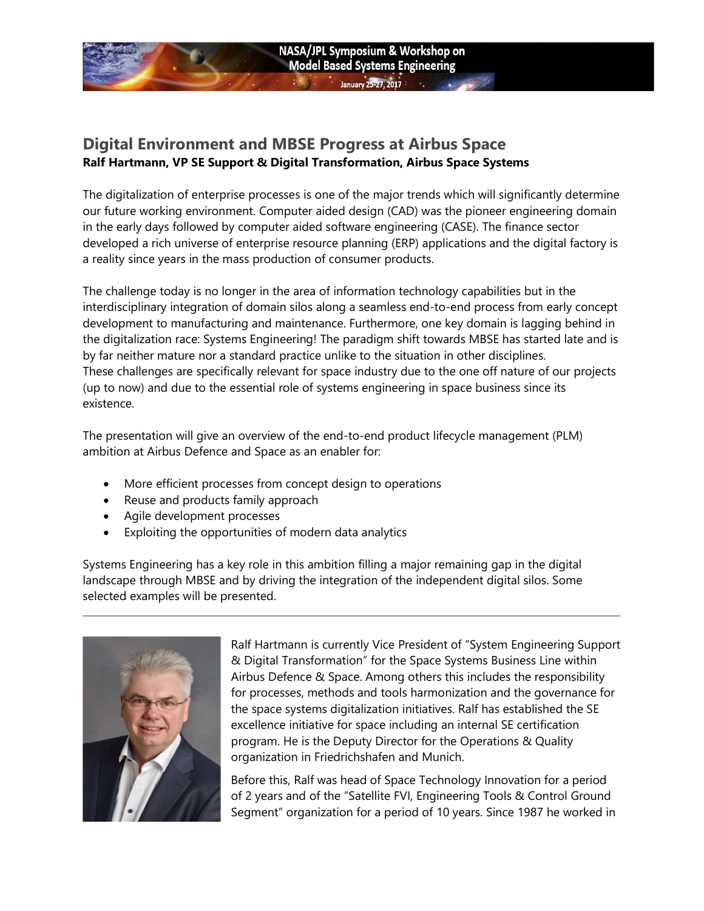### Digital Environment and MBSE Progress at Airbus Space Ralf Hartmann, VP SE Support & Digital Transformation, Airbus Space Systems

The digitalization of enterprise processes is one of the major trends which will significantly determine our future working environment. Computer aided design (CAD) was the pioneer engineering domain in the early days followed by computer aided software engineering (CASE). The finance sector developed a rich universe of enterprise resource planning (ERP) applications and the digital factory is a reality since years in the mass production of consumer products.

NASA/JPL Symposium & Workshop on **Model Based Systems Engineering** 

 $25.27221$ 

The challenge today is no longer in the area of information technology capabilities but in the interdisciplinary integration of domain silos along a seamless end-to-end process from early concept development to manufacturing and maintenance. Furthermore, one key domain is lagging behind in the digitalization race: Systems Engineering! The paradigm shift towards MBSE has started late and is by far neither mature nor a standard practice unlike to the situation in other disciplines. These challenges are specifically relevant for space industry due to the one off nature of our projects (up to now) and due to the essential role of systems engineering in space business since its existence.

The presentation will give an overview of the end-to-end product lifecycle management (PLM) ambition at Airbus Defence and Space as an enabler for:

- More efficient processes from concept design to operations
- Reuse and products family approach
- Agile development processes
- Exploiting the opportunities of modern data analytics

Systems Engineering has a key role in this ambition filling a major remaining gap in the digital landscape through MBSE and by driving the integration of the independent digital silos. Some selected examples will be presented.



Ralf Hartmann is currently Vice President of "System Engineering Support & Digital Transformation" for the Space Systems Business Line within Airbus Defence & Space. Among others this includes the responsibility for processes, methods and tools harmonization and the governance for the space systems digitalization initiatives. Ralf has established the SE excellence initiative for space including an internal SE certification program. He is the Deputy Director for the Operations & Quality organization in Friedrichshafen and Munich.

Before this, Ralf was head of Space Technology Innovation for a period of 2 years and of the "Satellite FVI, Engineering Tools & Control Ground Segment" organization for a period of 10 years. Since 1987 he worked in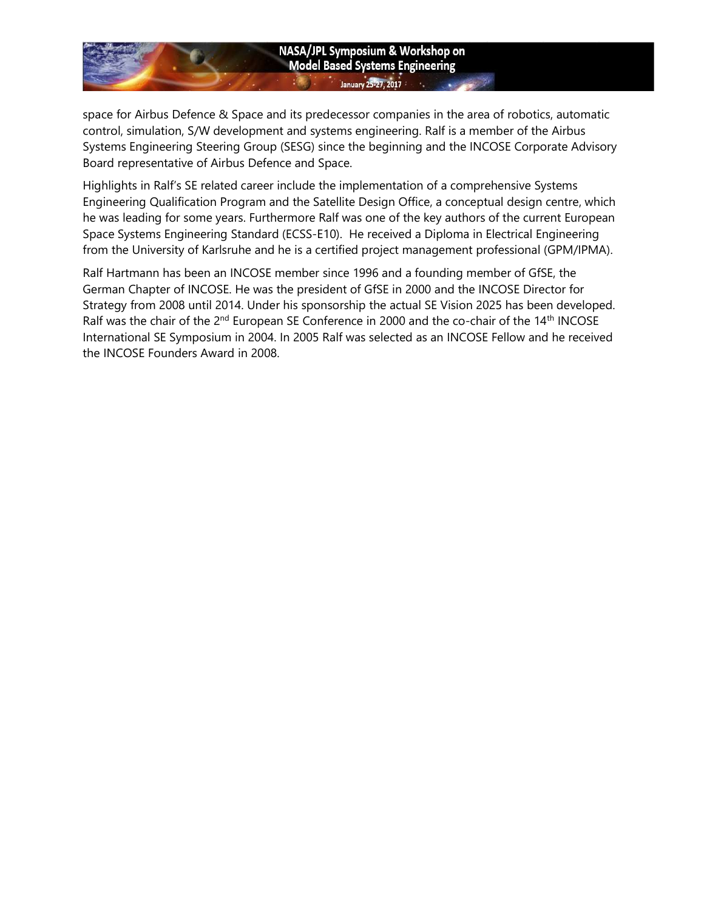#### NASA/JPL Symposium & Workshop on **Model Based Systems Engineering** January 25-27, 2017

space for Airbus Defence & Space and its predecessor companies in the area of robotics, automatic control, simulation, S/W development and systems engineering. Ralf is a member of the Airbus Systems Engineering Steering Group (SESG) since the beginning and the INCOSE Corporate Advisory Board representative of Airbus Defence and Space.

Highlights in Ralf's SE related career include the implementation of a comprehensive Systems Engineering Qualification Program and the Satellite Design Office, a conceptual design centre, which he was leading for some years. Furthermore Ralf was one of the key authors of the current European Space Systems Engineering Standard (ECSS-E10). He received a Diploma in Electrical Engineering from the University of Karlsruhe and he is a certified project management professional (GPM/IPMA).

Ralf Hartmann has been an INCOSE member since 1996 and a founding member of GfSE, the German Chapter of INCOSE. He was the president of GfSE in 2000 and the INCOSE Director for Strategy from 2008 until 2014. Under his sponsorship the actual SE Vision 2025 has been developed. Ralf was the chair of the 2<sup>nd</sup> European SE Conference in 2000 and the co-chair of the 14<sup>th</sup> INCOSE International SE Symposium in 2004. In 2005 Ralf was selected as an INCOSE Fellow and he received the INCOSE Founders Award in 2008.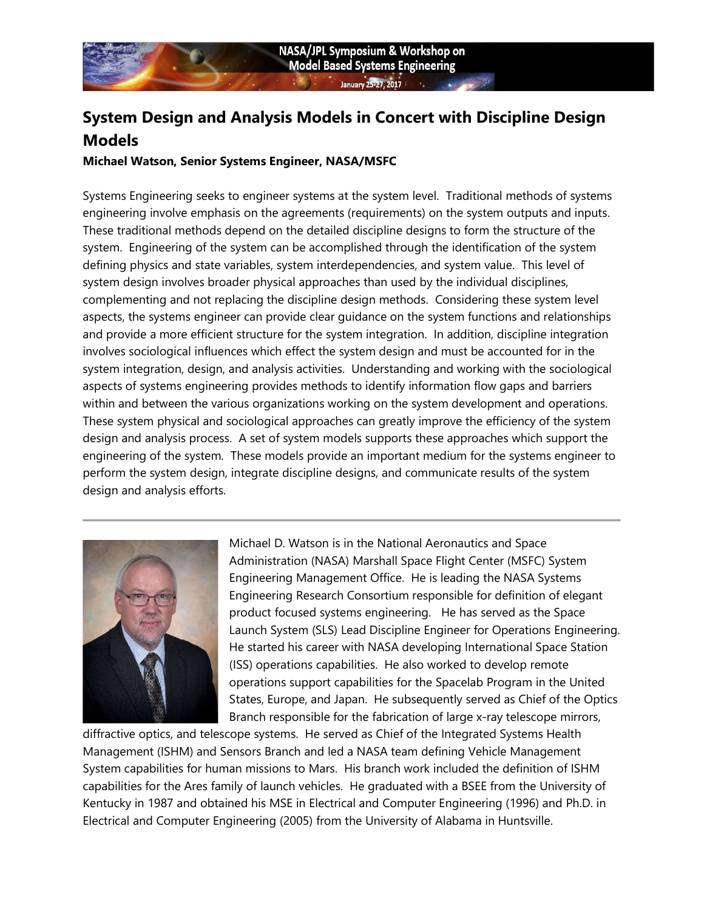# System Design and Analysis Models in Concert with Discipline Design Models

### Michael Watson, Senior Systems Engineer, NASA/MSFC

Systems Engineering seeks to engineer systems at the system level. Traditional methods of systems engineering involve emphasis on the agreements (requirements) on the system outputs and inputs. These traditional methods depend on the detailed discipline designs to form the structure of the system. Engineering of the system can be accomplished through the identification of the system defining physics and state variables, system interdependencies, and system value. This level of system design involves broader physical approaches than used by the individual disciplines, complementing and not replacing the discipline design methods. Considering these system level aspects, the systems engineer can provide clear guidance on the system functions and relationships and provide a more efficient structure for the system integration. In addition, discipline integration involves sociological influences which effect the system design and must be accounted for in the system integration, design, and analysis activities. Understanding and working with the sociological aspects of systems engineering provides methods to identify information flow gaps and barriers within and between the various organizations working on the system development and operations. These system physical and sociological approaches can greatly improve the efficiency of the system design and analysis process. A set of system models supports these approaches which support the engineering of the system. These models provide an important medium for the systems engineer to perform the system design, integrate discipline designs, and communicate results of the system design and analysis efforts.



Michael D. Watson is in the National Aeronautics and Space Administration (NASA) Marshall Space Flight Center (MSFC) System Engineering Management Office. He is leading the NASA Systems Engineering Research Consortium responsible for definition of elegant product focused systems engineering. He has served as the Space Launch System (SLS) Lead Discipline Engineer for Operations Engineering. He started his career with NASA developing International Space Station (ISS) operations capabilities. He also worked to develop remote operations support capabilities for the Spacelab Program in the United States, Europe, and Japan. He subsequently served as Chief of the Optics Branch responsible for the fabrication of large x-ray telescope mirrors,

diffractive optics, and telescope systems. He served as Chief of the Integrated Systems Health Management (ISHM) and Sensors Branch and led a NASA team defining Vehicle Management System capabilities for human missions to Mars. His branch work included the definition of ISHM capabilities for the Ares family of launch vehicles. He graduated with a BSEE from the University of Kentucky in 1987 and obtained his MSE in Electrical and Computer Engineering (1996) and Ph.D. in Electrical and Computer Engineering (2005) from the University of Alabama in Huntsville.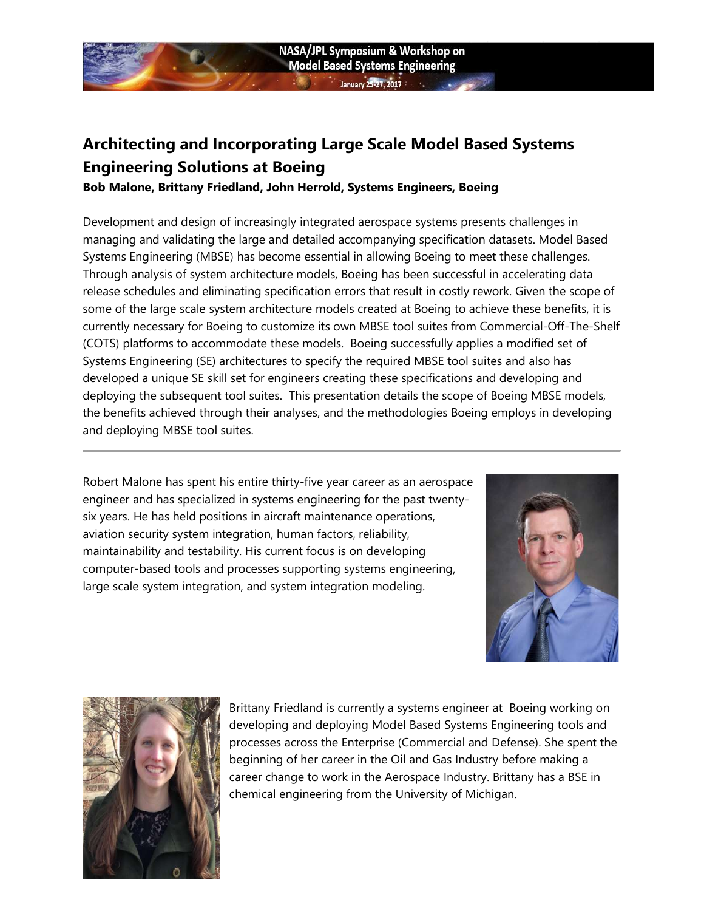

# Architecting and Incorporating Large Scale Model Based Systems Engineering Solutions at Boeing

Bob Malone, Brittany Friedland, John Herrold, Systems Engineers, Boeing

Development and design of increasingly integrated aerospace systems presents challenges in managing and validating the large and detailed accompanying specification datasets. Model Based Systems Engineering (MBSE) has become essential in allowing Boeing to meet these challenges. Through analysis of system architecture models, Boeing has been successful in accelerating data release schedules and eliminating specification errors that result in costly rework. Given the scope of some of the large scale system architecture models created at Boeing to achieve these benefits, it is currently necessary for Boeing to customize its own MBSE tool suites from Commercial-Off-The-Shelf (COTS) platforms to accommodate these models. Boeing successfully applies a modified set of Systems Engineering (SE) architectures to specify the required MBSE tool suites and also has developed a unique SE skill set for engineers creating these specifications and developing and deploying the subsequent tool suites. This presentation details the scope of Boeing MBSE models, the benefits achieved through their analyses, and the methodologies Boeing employs in developing and deploying MBSE tool suites.

Robert Malone has spent his entire thirty-five year career as an aerospace engineer and has specialized in systems engineering for the past twentysix years. He has held positions in aircraft maintenance operations, aviation security system integration, human factors, reliability, maintainability and testability. His current focus is on developing computer-based tools and processes supporting systems engineering, large scale system integration, and system integration modeling.





Brittany Friedland is currently a systems engineer at Boeing working on developing and deploying Model Based Systems Engineering tools and processes across the Enterprise (Commercial and Defense). She spent the beginning of her career in the Oil and Gas Industry before making a career change to work in the Aerospace Industry. Brittany has a BSE in chemical engineering from the University of Michigan.